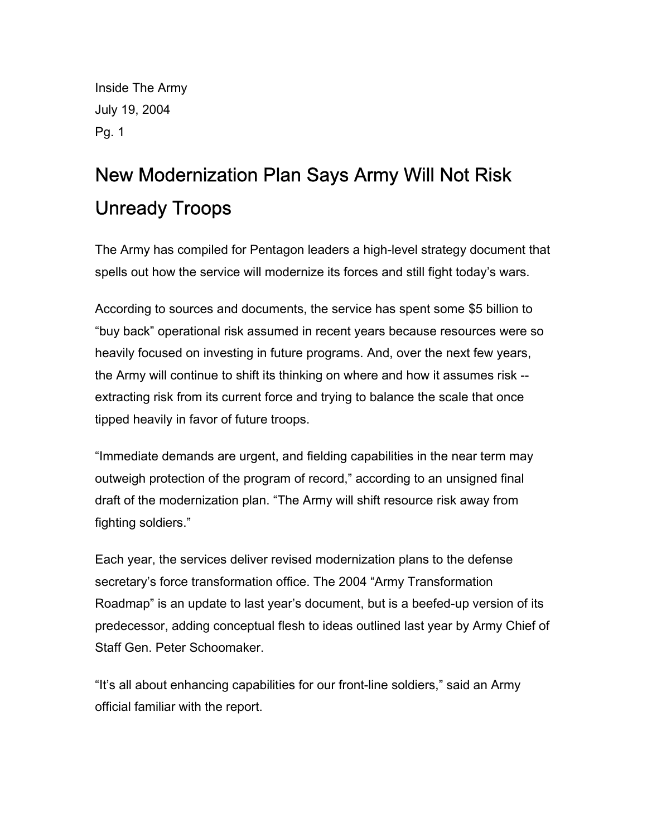Inside The Army July 19, 2004 Pg. 1

## New Modernization Plan Says Army Will Not Risk Unready Troops

The Army has compiled for Pentagon leaders a high-level strategy document that spells out how the service will modernize its forces and still fight today's wars.

According to sources and documents, the service has spent some \$5 billion to "buy back" operational risk assumed in recent years because resources were so heavily focused on investing in future programs. And, over the next few years, the Army will continue to shift its thinking on where and how it assumes risk - extracting risk from its current force and trying to balance the scale that once tipped heavily in favor of future troops.

"Immediate demands are urgent, and fielding capabilities in the near term may outweigh protection of the program of record," according to an unsigned final draft of the modernization plan. "The Army will shift resource risk away from fighting soldiers."

Each year, the services deliver revised modernization plans to the defense secretary's force transformation office. The 2004 "Army Transformation Roadmap" is an update to last year's document, but is a beefed-up version of its predecessor, adding conceptual flesh to ideas outlined last year by Army Chief of Staff Gen. Peter Schoomaker.

"It's all about enhancing capabilities for our front-line soldiers," said an Army official familiar with the report.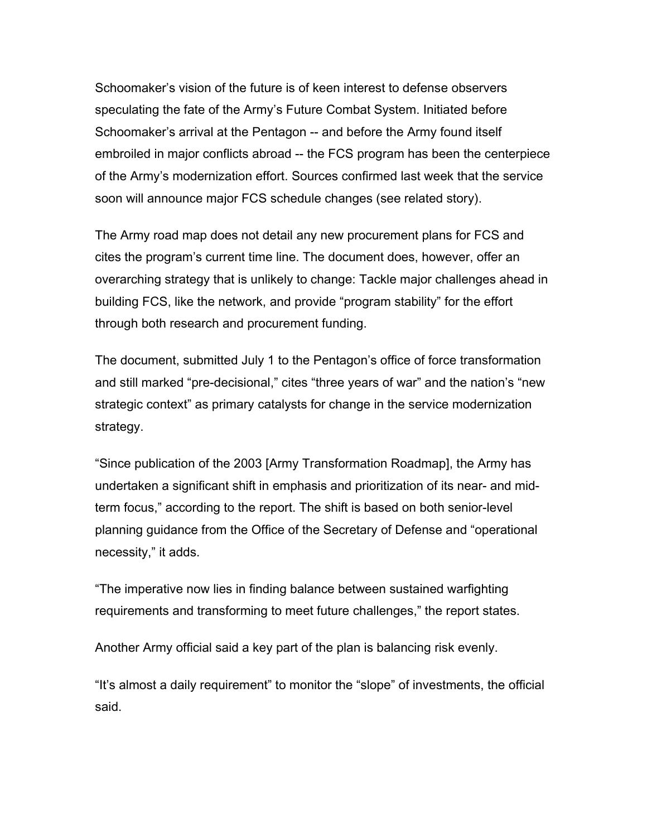Schoomaker's vision of the future is of keen interest to defense observers speculating the fate of the Army's Future Combat System. Initiated before Schoomaker's arrival at the Pentagon -- and before the Army found itself embroiled in major conflicts abroad -- the FCS program has been the centerpiece of the Army's modernization effort. Sources confirmed last week that the service soon will announce major FCS schedule changes (see related story).

The Army road map does not detail any new procurement plans for FCS and cites the program's current time line. The document does, however, offer an overarching strategy that is unlikely to change: Tackle major challenges ahead in building FCS, like the network, and provide "program stability" for the effort through both research and procurement funding.

The document, submitted July 1 to the Pentagon's office of force transformation and still marked "pre-decisional," cites "three years of war" and the nation's "new strategic context" as primary catalysts for change in the service modernization strategy.

"Since publication of the 2003 [Army Transformation Roadmap], the Army has undertaken a significant shift in emphasis and prioritization of its near- and midterm focus," according to the report. The shift is based on both senior-level planning guidance from the Office of the Secretary of Defense and "operational necessity," it adds.

"The imperative now lies in finding balance between sustained warfighting requirements and transforming to meet future challenges," the report states.

Another Army official said a key part of the plan is balancing risk evenly.

"It's almost a daily requirement" to monitor the "slope" of investments, the official said.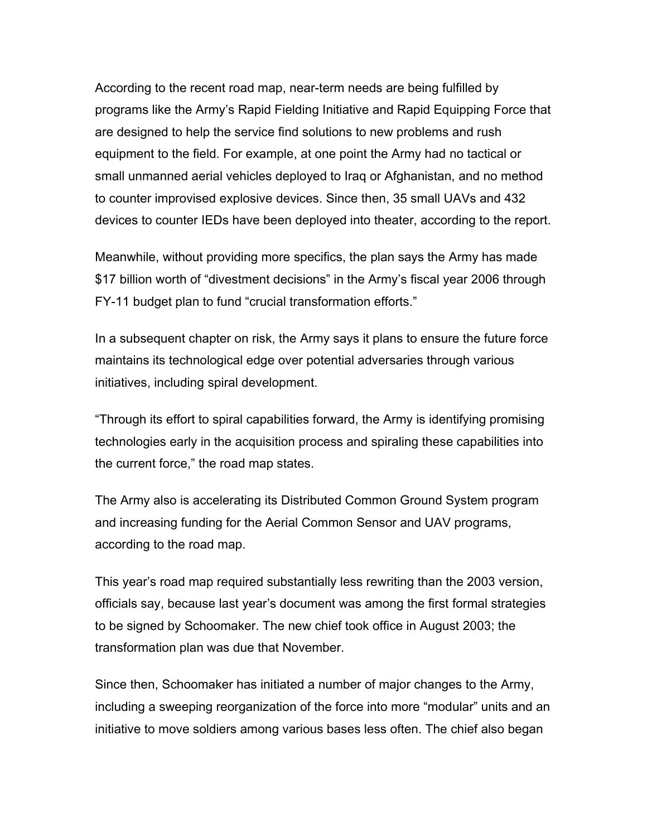According to the recent road map, near-term needs are being fulfilled by programs like the Army's Rapid Fielding Initiative and Rapid Equipping Force that are designed to help the service find solutions to new problems and rush equipment to the field. For example, at one point the Army had no tactical or small unmanned aerial vehicles deployed to Iraq or Afghanistan, and no method to counter improvised explosive devices. Since then, 35 small UAVs and 432 devices to counter IEDs have been deployed into theater, according to the report.

Meanwhile, without providing more specifics, the plan says the Army has made \$17 billion worth of "divestment decisions" in the Army's fiscal year 2006 through FY-11 budget plan to fund "crucial transformation efforts."

In a subsequent chapter on risk, the Army says it plans to ensure the future force maintains its technological edge over potential adversaries through various initiatives, including spiral development.

"Through its effort to spiral capabilities forward, the Army is identifying promising technologies early in the acquisition process and spiraling these capabilities into the current force," the road map states.

The Army also is accelerating its Distributed Common Ground System program and increasing funding for the Aerial Common Sensor and UAV programs, according to the road map.

This year's road map required substantially less rewriting than the 2003 version, officials say, because last year's document was among the first formal strategies to be signed by Schoomaker. The new chief took office in August 2003; the transformation plan was due that November.

Since then, Schoomaker has initiated a number of major changes to the Army, including a sweeping reorganization of the force into more "modular" units and an initiative to move soldiers among various bases less often. The chief also began